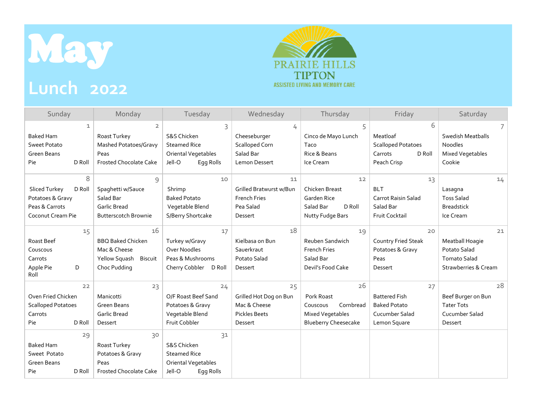

## **Lunch 2022**



| Sunday                                                                                                                                            | Monday                                                                                                             | Tuesday                                                                                                                                              | Wednesday                                                                       | Thursday                                                                                     | Friday                                                                              | Saturday                                                                             |
|---------------------------------------------------------------------------------------------------------------------------------------------------|--------------------------------------------------------------------------------------------------------------------|------------------------------------------------------------------------------------------------------------------------------------------------------|---------------------------------------------------------------------------------|----------------------------------------------------------------------------------------------|-------------------------------------------------------------------------------------|--------------------------------------------------------------------------------------|
| $\mathbf{1}$<br><b>Baked Ham</b><br><b>Sweet Potato</b><br><b>Green Beans</b><br>D Roll<br>Pie                                                    | $\overline{2}$<br>Roast Turkey<br>Mashed Potatoes/Gravy<br>Peas<br><b>Frosted Chocolate Cake</b>                   | 3<br>S&S Chicken<br><b>Steamed Rice</b><br>Oriental Vegetables<br>Jell-O<br>Eqq Rolls                                                                | 4<br>Cheeseburger<br>Scalloped Corn<br>Salad Bar<br>Lemon Dessert               | 5<br>Cinco de Mayo Lunch<br>Taco<br>Rice & Beans<br>Ice Cream                                | 6<br>Meatloaf<br><b>Scalloped Potatoes</b><br>D Roll<br>Carrots<br>Peach Crisp      | <b>Swedish Meatballs</b><br><b>Noodles</b><br>Mixed Vegetables<br>Cookie             |
| 8<br>Sliced Turkey<br>D Roll<br>Potatoes & Gravy<br>Peas & Carrots<br>Coconut Cream Pie                                                           | 9<br>Spaghetti w/Sauce<br>Salad Bar<br><b>Garlic Bread</b><br><b>Butterscotch Brownie</b>                          | 10<br>Shrimp<br><b>Baked Potato</b><br>Vegetable Blend<br>S/Berry Shortcake                                                                          | 11<br>Grilled Bratwurst w/Bun<br><b>French Fries</b><br>Pea Salad<br>Dessert    | 12<br>Chicken Breast<br><b>Garden Rice</b><br>Salad Bar<br>D Roll<br>Nutty Fudge Bars        | 13<br><b>BLT</b><br><b>Carrot Raisin Salad</b><br>Salad Bar<br>Fruit Cocktail       | 14<br>Lasagna<br><b>Toss Salad</b><br><b>Breadstick</b><br>Ice Cream                 |
| 15<br>Roast Beef<br>Couscous<br>Carrots<br>Apple Pie<br>D<br>Roll                                                                                 | 16<br><b>BBQ Baked Chicken</b><br>Mac & Cheese<br>Biscuit<br>Yellow Squash<br>Choc Pudding                         | 17<br>Turkey w/Gravy<br>Over Noodles<br>Peas & Mushrooms<br>Cherry Cobbler<br>D Roll                                                                 | 18<br>Kielbasa on Bun<br>Sauerkraut<br>Potato Salad<br>Dessert                  | 19<br>Reuben Sandwich<br><b>French Fries</b><br>Salad Bar<br>Devil's Food Cake               | 20<br><b>Country Fried Steak</b><br>Potatoes & Gravy<br>Peas<br>Dessert             | 21<br>Meatball Hoagie<br>Potato Salad<br><b>Tomato Salad</b><br>Strawberries & Cream |
| 22<br>Oven Fried Chicken<br><b>Scalloped Potatoes</b><br>Carrots<br>D Roll<br>Pie<br>29<br><b>Baked Ham</b><br>Sweet Potato<br><b>Green Beans</b> | 23<br>Manicotti<br>Green Beans<br><b>Garlic Bread</b><br>Dessert<br>30<br>Roast Turkey<br>Potatoes & Gravy<br>Peas | 24<br>O/F Roast Beef Sand<br>Potatoes & Gravy<br>Vegetable Blend<br>Fruit Cobbler<br>31<br>S&S Chicken<br><b>Steamed Rice</b><br>Oriental Vegetables | 25<br>Grilled Hot Dog on Bun<br>Mac & Cheese<br><b>Pickles Beets</b><br>Dessert | 26<br>Pork Roast<br>Cornbread<br>Couscous<br>Mixed Vegetables<br><b>Blueberry Cheesecake</b> | 27<br><b>Battered Fish</b><br><b>Baked Potato</b><br>Cucumber Salad<br>Lemon Square | 28<br>Beef Burger on Bun<br><b>Tater Tots</b><br>Cucumber Salad<br>Dessert           |
| D Roll<br>Pie                                                                                                                                     | <b>Frosted Chocolate Cake</b>                                                                                      | Jell-O<br>Egg Rolls                                                                                                                                  |                                                                                 |                                                                                              |                                                                                     |                                                                                      |